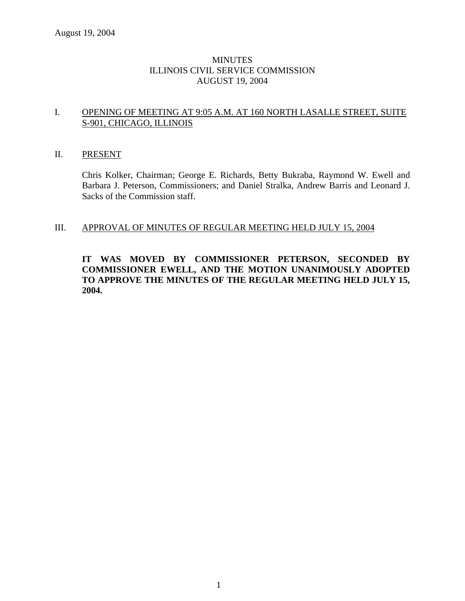### **MINUTES** ILLINOIS CIVIL SERVICE COMMISSION AUGUST 19, 2004

### I. OPENING OF MEETING AT 9:05 A.M. AT 160 NORTH LASALLE STREET, SUITE S-901, CHICAGO, ILLINOIS

### II. PRESENT

Chris Kolker, Chairman; George E. Richards, Betty Bukraba, Raymond W. Ewell and Barbara J. Peterson, Commissioners; and Daniel Stralka, Andrew Barris and Leonard J. Sacks of the Commission staff.

### III. APPROVAL OF MINUTES OF REGULAR MEETING HELD JULY 15, 2004

### **IT WAS MOVED BY COMMISSIONER PETERSON, SECONDED BY COMMISSIONER EWELL, AND THE MOTION UNANIMOUSLY ADOPTED TO APPROVE THE MINUTES OF THE REGULAR MEETING HELD JULY 15, 2004.**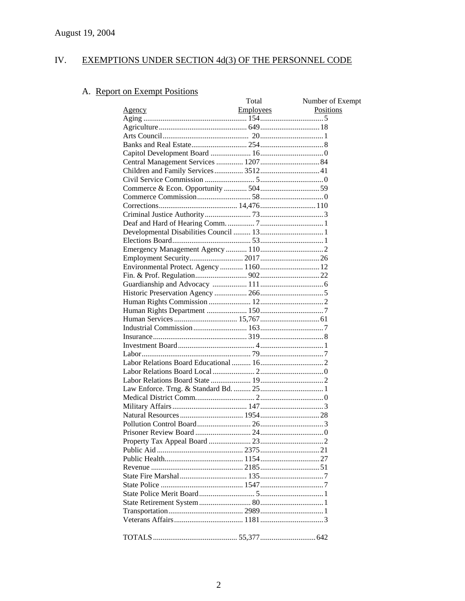#### IV. EXEMPTIONS UNDER SECTION 4d(3) OF THE PERSONNEL CODE

# A. Report on Exempt Positions

|                                      | Total            | Number of Exempt |
|--------------------------------------|------------------|------------------|
| <u>Agency</u>                        | <b>Employees</b> | Positions        |
|                                      |                  |                  |
|                                      |                  |                  |
|                                      |                  |                  |
|                                      |                  |                  |
|                                      |                  |                  |
| Central Management Services  1207 84 |                  |                  |
| Children and Family Services 3512 41 |                  |                  |
|                                      |                  |                  |
|                                      |                  |                  |
|                                      |                  |                  |
|                                      |                  |                  |
|                                      |                  |                  |
|                                      |                  |                  |
|                                      |                  |                  |
|                                      |                  |                  |
|                                      |                  |                  |
|                                      |                  |                  |
|                                      |                  |                  |
|                                      |                  |                  |
|                                      |                  |                  |
|                                      |                  |                  |
|                                      |                  |                  |
|                                      |                  |                  |
|                                      |                  |                  |
|                                      |                  |                  |
|                                      |                  |                  |
|                                      |                  |                  |
|                                      |                  |                  |
|                                      |                  |                  |
|                                      |                  |                  |
|                                      |                  |                  |
|                                      |                  |                  |
|                                      |                  |                  |
|                                      |                  |                  |
|                                      |                  |                  |
|                                      |                  |                  |
|                                      |                  |                  |
|                                      |                  |                  |
|                                      |                  |                  |
|                                      |                  |                  |
|                                      |                  |                  |
|                                      |                  |                  |
|                                      |                  |                  |
|                                      |                  |                  |
|                                      |                  |                  |
|                                      |                  |                  |
|                                      |                  |                  |
|                                      |                  |                  |
|                                      |                  |                  |
|                                      |                  |                  |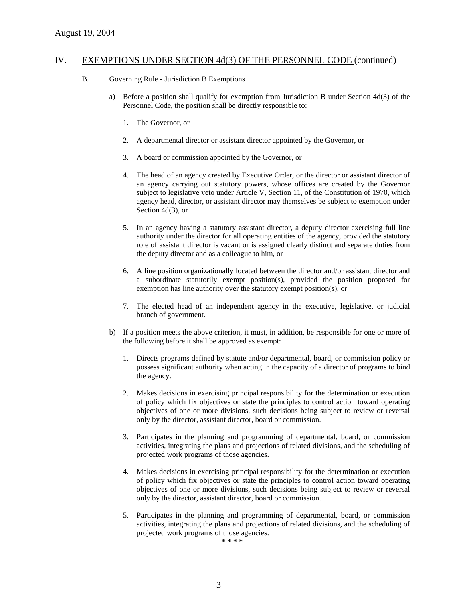#### B. Governing Rule - Jurisdiction B Exemptions

- a) Before a position shall qualify for exemption from Jurisdiction B under Section 4d(3) of the Personnel Code, the position shall be directly responsible to:
	- 1. The Governor, or
	- 2. A departmental director or assistant director appointed by the Governor, or
	- 3. A board or commission appointed by the Governor, or
	- 4. The head of an agency created by Executive Order, or the director or assistant director of an agency carrying out statutory powers, whose offices are created by the Governor subject to legislative veto under Article V, Section 11, of the Constitution of 1970, which agency head, director, or assistant director may themselves be subject to exemption under Section 4d(3), or
	- 5. In an agency having a statutory assistant director, a deputy director exercising full line authority under the director for all operating entities of the agency, provided the statutory role of assistant director is vacant or is assigned clearly distinct and separate duties from the deputy director and as a colleague to him, or
	- 6. A line position organizationally located between the director and/or assistant director and a subordinate statutorily exempt position(s), provided the position proposed for exemption has line authority over the statutory exempt position(s), or
	- 7. The elected head of an independent agency in the executive, legislative, or judicial branch of government.
- b) If a position meets the above criterion, it must, in addition, be responsible for one or more of the following before it shall be approved as exempt:
	- 1. Directs programs defined by statute and/or departmental, board, or commission policy or possess significant authority when acting in the capacity of a director of programs to bind the agency.
	- 2. Makes decisions in exercising principal responsibility for the determination or execution of policy which fix objectives or state the principles to control action toward operating objectives of one or more divisions, such decisions being subject to review or reversal only by the director, assistant director, board or commission.
	- 3. Participates in the planning and programming of departmental, board, or commission activities, integrating the plans and projections of related divisions, and the scheduling of projected work programs of those agencies.
	- 4. Makes decisions in exercising principal responsibility for the determination or execution of policy which fix objectives or state the principles to control action toward operating objectives of one or more divisions, such decisions being subject to review or reversal only by the director, assistant director, board or commission.
	- 5. Participates in the planning and programming of departmental, board, or commission activities, integrating the plans and projections of related divisions, and the scheduling of projected work programs of those agencies.

**\* \* \* \***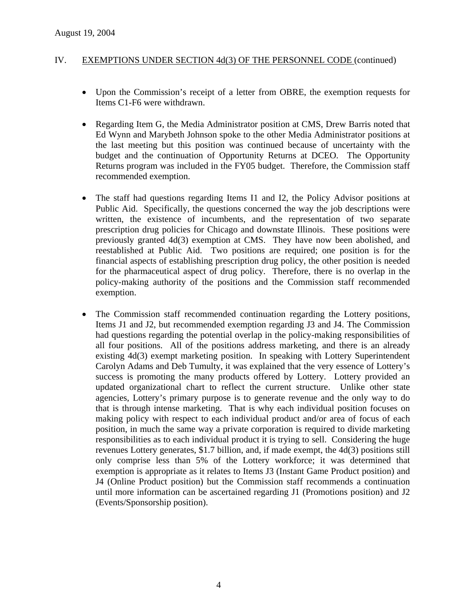- Upon the Commission's receipt of a letter from OBRE, the exemption requests for Items C1-F6 were withdrawn.
- Regarding Item G, the Media Administrator position at CMS, Drew Barris noted that Ed Wynn and Marybeth Johnson spoke to the other Media Administrator positions at the last meeting but this position was continued because of uncertainty with the budget and the continuation of Opportunity Returns at DCEO. The Opportunity Returns program was included in the FY05 budget. Therefore, the Commission staff recommended exemption.
- The staff had questions regarding Items I1 and I2, the Policy Advisor positions at Public Aid. Specifically, the questions concerned the way the job descriptions were written, the existence of incumbents, and the representation of two separate prescription drug policies for Chicago and downstate Illinois. These positions were previously granted 4d(3) exemption at CMS. They have now been abolished, and reestablished at Public Aid. Two positions are required; one position is for the financial aspects of establishing prescription drug policy, the other position is needed for the pharmaceutical aspect of drug policy. Therefore, there is no overlap in the policy-making authority of the positions and the Commission staff recommended exemption.
- The Commission staff recommended continuation regarding the Lottery positions, Items J1 and J2, but recommended exemption regarding J3 and J4. The Commission had questions regarding the potential overlap in the policy-making responsibilities of all four positions. All of the positions address marketing, and there is an already existing 4d(3) exempt marketing position. In speaking with Lottery Superintendent Carolyn Adams and Deb Tumulty, it was explained that the very essence of Lottery's success is promoting the many products offered by Lottery. Lottery provided an updated organizational chart to reflect the current structure. Unlike other state agencies, Lottery's primary purpose is to generate revenue and the only way to do that is through intense marketing. That is why each individual position focuses on making policy with respect to each individual product and/or area of focus of each position, in much the same way a private corporation is required to divide marketing responsibilities as to each individual product it is trying to sell. Considering the huge revenues Lottery generates, \$1.7 billion, and, if made exempt, the 4d(3) positions still only comprise less than 5% of the Lottery workforce; it was determined that exemption is appropriate as it relates to Items J3 (Instant Game Product position) and J4 (Online Product position) but the Commission staff recommends a continuation until more information can be ascertained regarding J1 (Promotions position) and J2 (Events/Sponsorship position).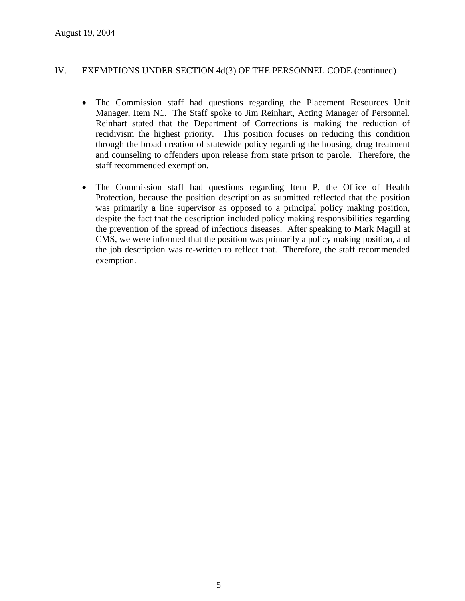- The Commission staff had questions regarding the Placement Resources Unit Manager, Item N1. The Staff spoke to Jim Reinhart, Acting Manager of Personnel. Reinhart stated that the Department of Corrections is making the reduction of recidivism the highest priority. This position focuses on reducing this condition through the broad creation of statewide policy regarding the housing, drug treatment and counseling to offenders upon release from state prison to parole. Therefore, the staff recommended exemption.
- The Commission staff had questions regarding Item P, the Office of Health Protection, because the position description as submitted reflected that the position was primarily a line supervisor as opposed to a principal policy making position, despite the fact that the description included policy making responsibilities regarding the prevention of the spread of infectious diseases. After speaking to Mark Magill at CMS, we were informed that the position was primarily a policy making position, and the job description was re-written to reflect that. Therefore, the staff recommended exemption.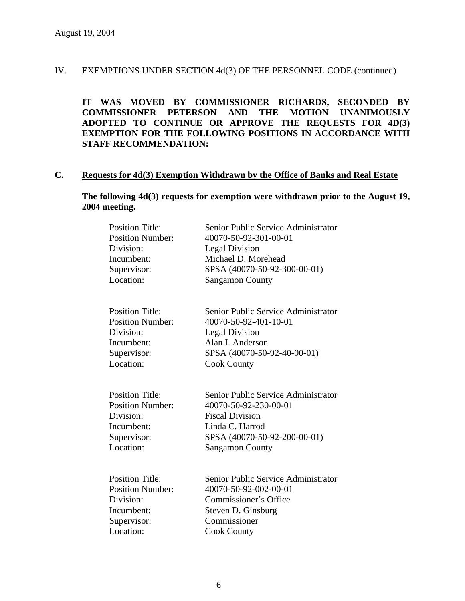**IT WAS MOVED BY COMMISSIONER RICHARDS, SECONDED BY COMMISSIONER PETERSON AND THE MOTION UNANIMOUSLY ADOPTED TO CONTINUE OR APPROVE THE REQUESTS FOR 4D(3) EXEMPTION FOR THE FOLLOWING POSITIONS IN ACCORDANCE WITH STAFF RECOMMENDATION:** 

# **C. Requests for 4d(3) Exemption Withdrawn by the Office of Banks and Real Estate**

**The following 4d(3) requests for exemption were withdrawn prior to the August 19, 2004 meeting.** 

| <b>Position Title:</b><br><b>Position Number:</b><br>Division:<br>Incumbent:<br>Supervisor:<br>Location: | Senior Public Service Administrator<br>40070-50-92-301-00-01<br><b>Legal Division</b><br>Michael D. Morehead<br>SPSA (40070-50-92-300-00-01)<br><b>Sangamon County</b> |
|----------------------------------------------------------------------------------------------------------|------------------------------------------------------------------------------------------------------------------------------------------------------------------------|
| <b>Position Title:</b><br><b>Position Number:</b><br>Division:<br>Incumbent:<br>Supervisor:<br>Location: | Senior Public Service Administrator<br>40070-50-92-401-10-01<br><b>Legal Division</b><br>Alan I. Anderson<br>SPSA (40070-50-92-40-00-01)<br><b>Cook County</b>         |
| <b>Position Title:</b><br><b>Position Number:</b><br>Division:<br>Incumbent:<br>Supervisor:<br>Location: | Senior Public Service Administrator<br>40070-50-92-230-00-01<br><b>Fiscal Division</b><br>Linda C. Harrod<br>SPSA (40070-50-92-200-00-01)<br><b>Sangamon County</b>    |
| <b>Position Title:</b><br><b>Position Number:</b><br>Division:<br>Incumbent:<br>Supervisor:<br>Location: | Senior Public Service Administrator<br>40070-50-92-002-00-01<br>Commissioner's Office<br>Steven D. Ginsburg<br>Commissioner<br><b>Cook County</b>                      |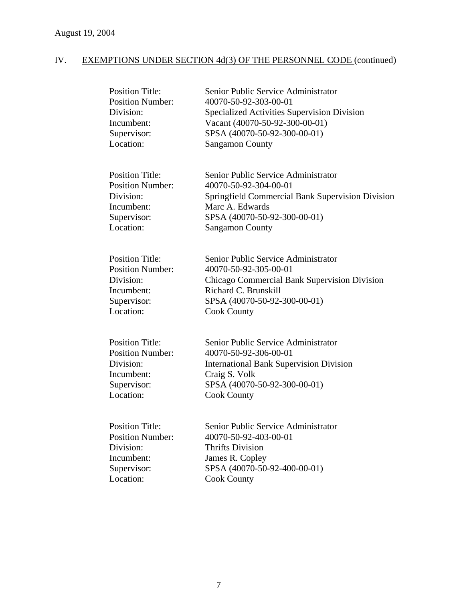| <b>Position Title:</b><br><b>Position Number:</b><br>Division:<br>Incumbent:<br>Supervisor:<br>Location: | Senior Public Service Administrator<br>40070-50-92-303-00-01<br>Specialized Activities Supervision Division<br>Vacant (40070-50-92-300-00-01)<br>SPSA (40070-50-92-300-00-01)<br><b>Sangamon County</b> |
|----------------------------------------------------------------------------------------------------------|---------------------------------------------------------------------------------------------------------------------------------------------------------------------------------------------------------|
| <b>Position Title:</b><br><b>Position Number:</b><br>Division:<br>Incumbent:<br>Supervisor:<br>Location: | Senior Public Service Administrator<br>40070-50-92-304-00-01<br>Springfield Commercial Bank Supervision Division<br>Marc A. Edwards<br>SPSA (40070-50-92-300-00-01)<br><b>Sangamon County</b>           |
| <b>Position Title:</b><br><b>Position Number:</b><br>Division:<br>Incumbent:<br>Supervisor:<br>Location: | Senior Public Service Administrator<br>40070-50-92-305-00-01<br>Chicago Commercial Bank Supervision Division<br>Richard C. Brunskill<br>SPSA (40070-50-92-300-00-01)<br><b>Cook County</b>              |
| <b>Position Title:</b><br><b>Position Number:</b><br>Division:<br>Incumbent:<br>Supervisor:<br>Location: | Senior Public Service Administrator<br>40070-50-92-306-00-01<br><b>International Bank Supervision Division</b><br>Craig S. Volk<br>SPSA (40070-50-92-300-00-01)<br><b>Cook County</b>                   |
| <b>Position Title:</b><br><b>Position Number:</b><br>Division:<br>Incumbent:<br>Supervisor:<br>Location: | Senior Public Service Administrator<br>40070-50-92-403-00-01<br><b>Thrifts Division</b><br>James R. Copley<br>SPSA (40070-50-92-400-00-01)<br><b>Cook County</b>                                        |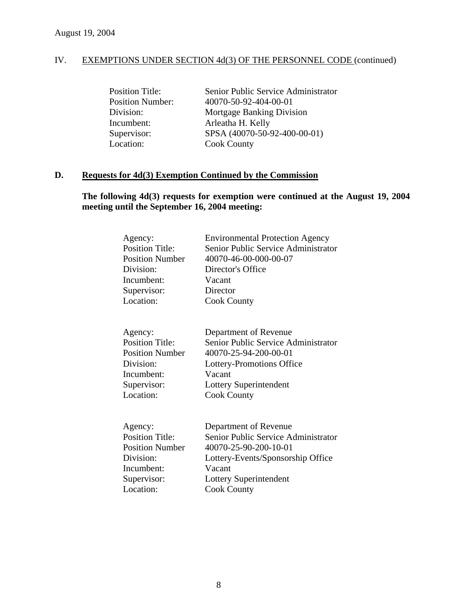| Senior Public Service Administrator |
|-------------------------------------|
| 40070-50-92-404-00-01               |
| Mortgage Banking Division           |
| Arleatha H. Kelly                   |
| SPSA (40070-50-92-400-00-01)        |
| <b>Cook County</b>                  |
|                                     |

### **D. Requests for 4d(3) Exemption Continued by the Commission**

# **The following 4d(3) requests for exemption were continued at the August 19, 2004 meeting until the September 16, 2004 meeting:**

| Agency:<br><b>Position Title:</b><br><b>Position Number</b><br>Division:<br>Incumbent:                             | <b>Environmental Protection Agency</b><br>Senior Public Service Administrator<br>40070-46-00-000-00-07<br>Director's Office<br>Vacant                                                |
|--------------------------------------------------------------------------------------------------------------------|--------------------------------------------------------------------------------------------------------------------------------------------------------------------------------------|
| Supervisor:                                                                                                        | Director                                                                                                                                                                             |
| Location:                                                                                                          | <b>Cook County</b>                                                                                                                                                                   |
| Agency:<br><b>Position Title:</b><br><b>Position Number</b><br>Division:<br>Incumbent:<br>Supervisor:<br>Location: | Department of Revenue<br>Senior Public Service Administrator<br>40070-25-94-200-00-01<br>Lottery-Promotions Office<br>Vacant<br>Lottery Superintendent<br><b>Cook County</b>         |
| Agency:<br><b>Position Title:</b><br><b>Position Number</b><br>Division:<br>Incumbent:<br>Supervisor:<br>Location: | Department of Revenue<br>Senior Public Service Administrator<br>40070-25-90-200-10-01<br>Lottery-Events/Sponsorship Office<br>Vacant<br>Lottery Superintendent<br><b>Cook County</b> |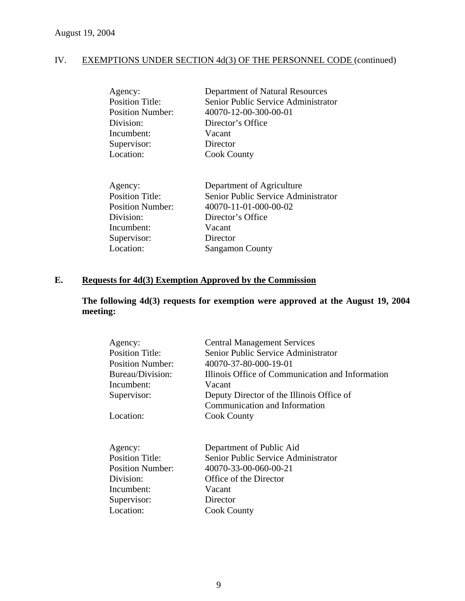| Agency:                 | Department of Natural Resources     |
|-------------------------|-------------------------------------|
| <b>Position Title:</b>  | Senior Public Service Administrator |
| <b>Position Number:</b> | 40070-12-00-300-00-01               |
| Division:               | Director's Office                   |
| Incumbent:              | Vacant                              |
| Supervisor:             | Director                            |
| Location:               | <b>Cook County</b>                  |

| Agency:                 | Department of Agriculture           |
|-------------------------|-------------------------------------|
| <b>Position Title:</b>  | Senior Public Service Administrator |
| <b>Position Number:</b> | 40070-11-01-000-00-02               |
| Division:               | Director's Office                   |
| Incumbent:              | Vacant                              |
| Supervisor:             | Director                            |
| Location:               | <b>Sangamon County</b>              |

# **E. Requests for 4d(3) Exemption Approved by the Commission**

**The following 4d(3) requests for exemption were approved at the August 19, 2004 meeting:** 

| Agency:<br><b>Position Title:</b> | <b>Central Management Services</b><br>Senior Public Service Administrator |
|-----------------------------------|---------------------------------------------------------------------------|
| <b>Position Number:</b>           | 40070-37-80-000-19-01                                                     |
| Bureau/Division:                  | Illinois Office of Communication and Information                          |
| Incumbent:                        | Vacant                                                                    |
| Supervisor:                       | Deputy Director of the Illinois Office of                                 |
|                                   | Communication and Information                                             |
| Location:                         | <b>Cook County</b>                                                        |
|                                   |                                                                           |
| Agency:                           | Department of Public Aid                                                  |
| <b>Position Title:</b>            | Senior Public Service Administrator                                       |
| <b>Position Number:</b>           | 40070-33-00-060-00-21                                                     |
| Division:                         | Office of the Director                                                    |
| Incumbent:                        | Vacant                                                                    |
| Supervisor:                       | Director                                                                  |
| Location:                         | <b>Cook County</b>                                                        |
|                                   |                                                                           |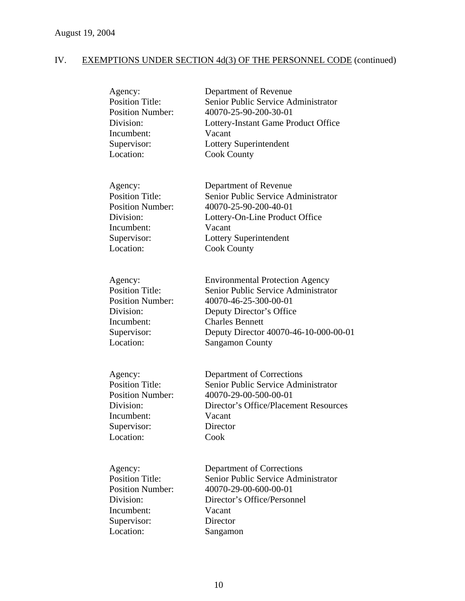| Agency:<br><b>Position Title:</b><br><b>Position Number:</b><br>Division:<br>Incumbent:<br>Supervisor:<br>Location: | Department of Revenue<br>Senior Public Service Administrator<br>40070-25-90-200-30-01<br>Lottery-Instant Game Product Office<br>Vacant<br>Lottery Superintendent<br><b>Cook County</b>                                          |
|---------------------------------------------------------------------------------------------------------------------|---------------------------------------------------------------------------------------------------------------------------------------------------------------------------------------------------------------------------------|
| Agency:<br><b>Position Title:</b><br><b>Position Number:</b><br>Division:<br>Incumbent:<br>Supervisor:<br>Location: | Department of Revenue<br>Senior Public Service Administrator<br>40070-25-90-200-40-01<br>Lottery-On-Line Product Office<br>Vacant<br>Lottery Superintendent<br><b>Cook County</b>                                               |
| Agency:<br><b>Position Title:</b><br><b>Position Number:</b><br>Division:<br>Incumbent:<br>Supervisor:<br>Location: | <b>Environmental Protection Agency</b><br>Senior Public Service Administrator<br>40070-46-25-300-00-01<br>Deputy Director's Office<br><b>Charles Bennett</b><br>Deputy Director 40070-46-10-000-00-01<br><b>Sangamon County</b> |
| Agency:<br><b>Position Title:</b><br><b>Position Number:</b><br>Division:<br>Incumbent:<br>Supervisor:<br>Location: | Department of Corrections<br>Senior Public Service Administrator<br>40070-29-00-500-00-01<br>Director's Office/Placement Resources<br>Vacant<br>Director<br>Cook                                                                |
| Agency:<br><b>Position Title:</b><br><b>Position Number:</b><br>Division:<br>Incumbent:<br>Supervisor:<br>Location: | Department of Corrections<br>Senior Public Service Administrator<br>40070-29-00-600-00-01<br>Director's Office/Personnel<br>Vacant<br>Director<br>Sangamon                                                                      |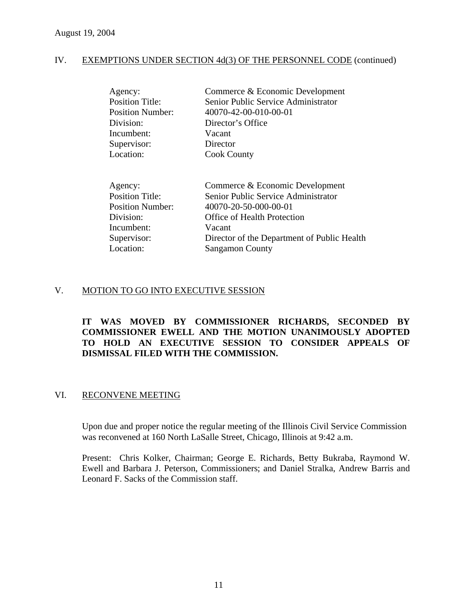| Agency:<br><b>Position Title:</b><br><b>Position Number:</b><br>Division:<br>Incumbent: | Commerce & Economic Development<br>Senior Public Service Administrator<br>40070-42-00-010-00-01<br>Director's Office<br>Vacant |
|-----------------------------------------------------------------------------------------|--------------------------------------------------------------------------------------------------------------------------------|
|                                                                                         |                                                                                                                                |
| Supervisor:                                                                             | Director                                                                                                                       |
| Location:                                                                               | <b>Cook County</b>                                                                                                             |

| Agency:                 | Commerce & Economic Development             |
|-------------------------|---------------------------------------------|
| <b>Position Title:</b>  | Senior Public Service Administrator         |
| <b>Position Number:</b> | 40070-20-50-000-00-01                       |
| Division:               | Office of Health Protection                 |
| Incumbent:              | Vacant                                      |
| Supervisor:             | Director of the Department of Public Health |
| Location:               | <b>Sangamon County</b>                      |
|                         |                                             |

### V. MOTION TO GO INTO EXECUTIVE SESSION

### **IT WAS MOVED BY COMMISSIONER RICHARDS, SECONDED BY COMMISSIONER EWELL AND THE MOTION UNANIMOUSLY ADOPTED TO HOLD AN EXECUTIVE SESSION TO CONSIDER APPEALS OF DISMISSAL FILED WITH THE COMMISSION.**

### VI. RECONVENE MEETING

Upon due and proper notice the regular meeting of the Illinois Civil Service Commission was reconvened at 160 North LaSalle Street, Chicago, Illinois at 9:42 a.m.

Present: Chris Kolker, Chairman; George E. Richards, Betty Bukraba, Raymond W. Ewell and Barbara J. Peterson, Commissioners; and Daniel Stralka, Andrew Barris and Leonard F. Sacks of the Commission staff.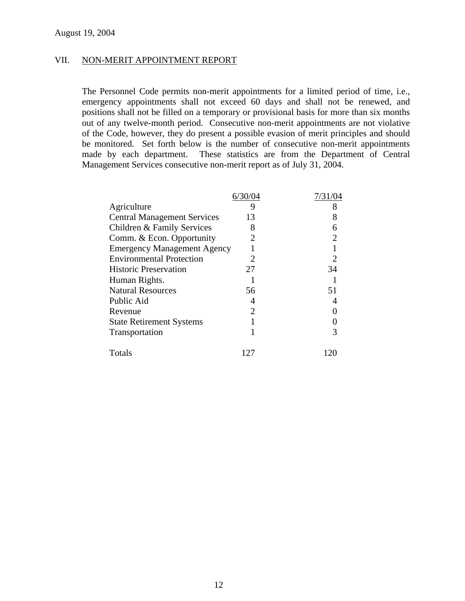### VII. NON-MERIT APPOINTMENT REPORT

The Personnel Code permits non-merit appointments for a limited period of time, i.e., emergency appointments shall not exceed 60 days and shall not be renewed, and positions shall not be filled on a temporary or provisional basis for more than six months out of any twelve-month period. Consecutive non-merit appointments are not violative of the Code, however, they do present a possible evasion of merit principles and should be monitored. Set forth below is the number of consecutive non-merit appointments made by each department. These statistics are from the Department of Central Management Services consecutive non-merit report as of July 31, 2004.

|                                    | 6/30/04 | 7/31/04 |
|------------------------------------|---------|---------|
| Agriculture                        | 9       | 8       |
| <b>Central Management Services</b> | 13      |         |
| Children & Family Services         | 8       |         |
| Comm. & Econ. Opportunity          |         |         |
| <b>Emergency Management Agency</b> |         |         |
| <b>Environmental Protection</b>    |         |         |
| <b>Historic Preservation</b>       | 27      | 34      |
| Human Rights.                      |         |         |
| <b>Natural Resources</b>           | 56      | 51      |
| Public Aid                         |         |         |
| Revenue                            | 2       |         |
| <b>State Retirement Systems</b>    |         |         |
| Transportation                     |         |         |
| Totals                             | 127     |         |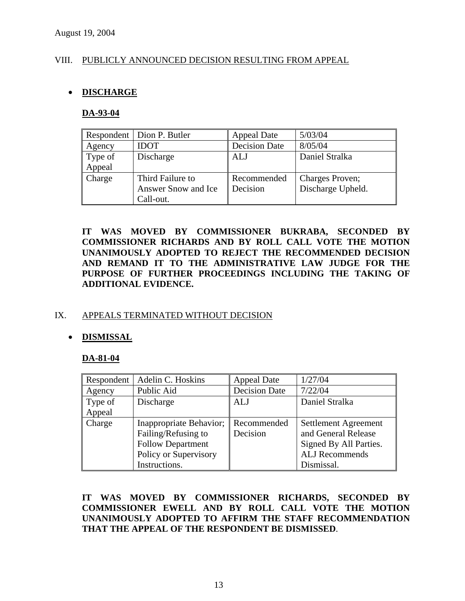### VIII. PUBLICLY ANNOUNCED DECISION RESULTING FROM APPEAL

### • **DISCHARGE**

### **DA-93-04**

|         | Respondent   Dion P. Butler | <b>Appeal Date</b>   | 5/03/04           |
|---------|-----------------------------|----------------------|-------------------|
| Agency  | <b>IDOT</b>                 | <b>Decision Date</b> | 8/05/04           |
| Type of | Discharge                   | ALJ                  | Daniel Stralka    |
| Appeal  |                             |                      |                   |
| Charge  | Third Failure to            | Recommended          | Charges Proven;   |
|         | Answer Snow and Ice         | Decision             | Discharge Upheld. |
|         | Call-out.                   |                      |                   |

**IT WAS MOVED BY COMMISSIONER BUKRABA, SECONDED BY COMMISSIONER RICHARDS AND BY ROLL CALL VOTE THE MOTION UNANIMOUSLY ADOPTED TO REJECT THE RECOMMENDED DECISION AND REMAND IT TO THE ADMINISTRATIVE LAW JUDGE FOR THE PURPOSE OF FURTHER PROCEEDINGS INCLUDING THE TAKING OF ADDITIONAL EVIDENCE.** 

### IX. APPEALS TERMINATED WITHOUT DECISION

### • **DISMISSAL**

### **DA-81-04**

| Respondent | Adelin C. Hoskins        | <b>Appeal Date</b>   | 1/27/04                     |
|------------|--------------------------|----------------------|-----------------------------|
| Agency     | Public Aid               | <b>Decision Date</b> | 7/22/04                     |
| Type of    | Discharge                | ALJ                  | Daniel Stralka              |
| Appeal     |                          |                      |                             |
| Charge     | Inappropriate Behavior;  | Recommended          | <b>Settlement Agreement</b> |
|            | Failing/Refusing to      | Decision             | and General Release         |
|            | <b>Follow Department</b> |                      | Signed By All Parties.      |
|            | Policy or Supervisory    |                      | <b>ALJ</b> Recommends       |
|            | Instructions.            |                      | Dismissal.                  |

**IT WAS MOVED BY COMMISSIONER RICHARDS, SECONDED BY COMMISSIONER EWELL AND BY ROLL CALL VOTE THE MOTION UNANIMOUSLY ADOPTED TO AFFIRM THE STAFF RECOMMENDATION THAT THE APPEAL OF THE RESPONDENT BE DISMISSED**.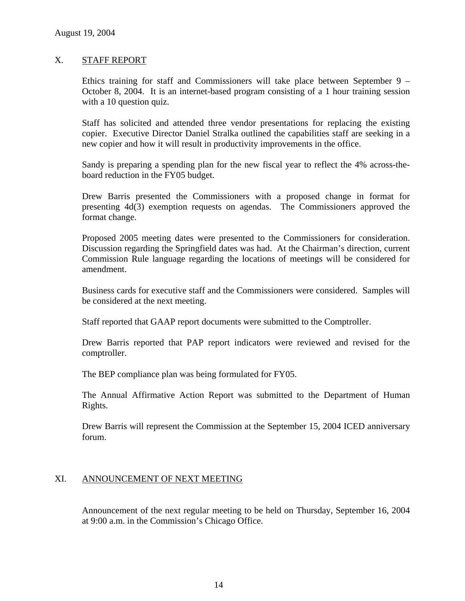### X. STAFF REPORT

Ethics training for staff and Commissioners will take place between September 9 – October 8, 2004. It is an internet-based program consisting of a 1 hour training session with a 10 question quiz.

Staff has solicited and attended three vendor presentations for replacing the existing copier. Executive Director Daniel Stralka outlined the capabilities staff are seeking in a new copier and how it will result in productivity improvements in the office.

Sandy is preparing a spending plan for the new fiscal year to reflect the 4% across-theboard reduction in the FY05 budget.

Drew Barris presented the Commissioners with a proposed change in format for presenting 4d(3) exemption requests on agendas. The Commissioners approved the format change.

Proposed 2005 meeting dates were presented to the Commissioners for consideration. Discussion regarding the Springfield dates was had. At the Chairman's direction, current Commission Rule language regarding the locations of meetings will be considered for amendment.

Business cards for executive staff and the Commissioners were considered. Samples will be considered at the next meeting.

Staff reported that GAAP report documents were submitted to the Comptroller.

Drew Barris reported that PAP report indicators were reviewed and revised for the comptroller.

The BEP compliance plan was being formulated for FY05.

The Annual Affirmative Action Report was submitted to the Department of Human Rights.

Drew Barris will represent the Commission at the September 15, 2004 ICED anniversary forum.

### XI. ANNOUNCEMENT OF NEXT MEETING

Announcement of the next regular meeting to be held on Thursday, September 16, 2004 at 9:00 a.m. in the Commission's Chicago Office.